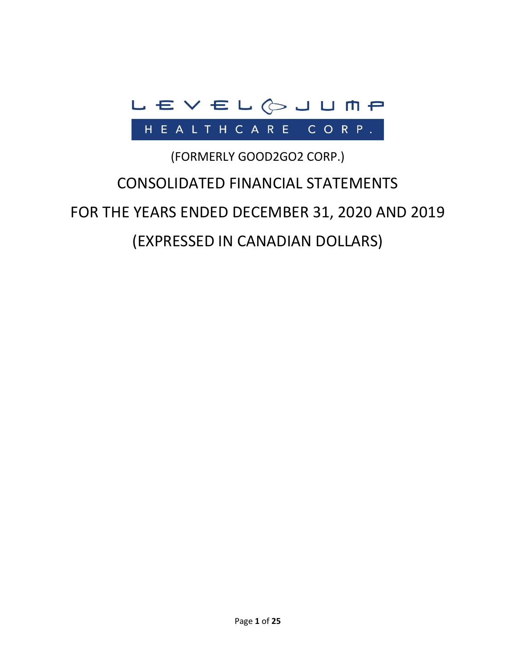

# (FORMERLY GOOD2GO2 CORP.) CONSOLIDATED FINANCIAL STATEMENTS FOR THE YEARS ENDED DECEMBER 31, 2020 AND 2019 (EXPRESSED IN CANADIAN DOLLARS)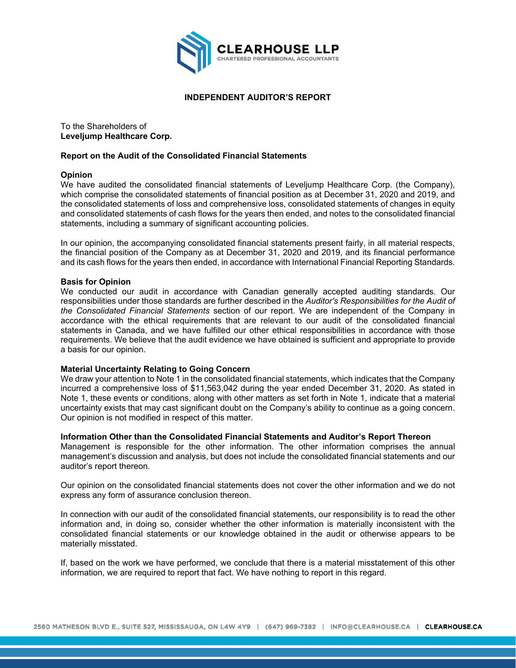

#### **INDEPENDENT AUDITOR'S REPORT**

To the Shareholders of **Leveljump Healthcare Corp.** 

#### **Report on the Audit of the Consolidated Financial Statements**

#### **Opinion**

We have audited the consolidated financial statements of Leveljump Healthcare Corp. (the Company), which comprise the consolidated statements of financial position as at December 31, 2020 and 2019, and the consolidated statements of loss and comprehensive loss, consolidated statements of changes in equity and consolidated statements of cash flows for the years then ended, and notes to the consolidated financial statements, including a summary of significant accounting policies.

In our opinion, the accompanying consolidated financial statements present fairly, in all material respects, the financial position of the Company as at December 31, 2020 and 2019, and its financial performance and its cash flows for the years then ended, in accordance with International Financial Reporting Standards.

#### **Basis for Opinion**

We conducted our audit in accordance with Canadian generally accepted auditing standards. Our responsibilities under those standards are further described in the *Auditor's Responsibilities for the Audit of the Consolidated Financial Statements* section of our report. We are independent of the Company in accordance with the ethical requirements that are relevant to our audit of the consolidated financial statements in Canada, and we have fulfilled our other ethical responsibilities in accordance with those requirements. We believe that the audit evidence we have obtained is sufficient and appropriate to provide a basis for our opinion.

#### **Material Uncertainty Relating to Going Concern**

We draw your attention to Note 1 in the consolidated financial statements, which indicates that the Company incurred a comprehensive loss of \$11,563,042 during the year ended December 31, 2020. As stated in Note 1, these events or conditions, along with other matters as set forth in Note 1, indicate that a material uncertainty exists that may cast significant doubt on the Company's ability to continue as a going concern. Our opinion is not modified in respect of this matter.

#### **Information Other than the Consolidated Financial Statements and Auditor's Report Thereon**

Management is responsible for the other information. The other information comprises the annual management's discussion and analysis, but does not include the consolidated financial statements and our auditor's report thereon.

Our opinion on the consolidated financial statements does not cover the other information and we do not express any form of assurance conclusion thereon.

In connection with our audit of the consolidated financial statements, our responsibility is to read the other information and, in doing so, consider whether the other information is materially inconsistent with the consolidated financial statements or our knowledge obtained in the audit or otherwise appears to be materially misstated.

If, based on the work we have performed, we conclude that there is a material misstatement of this other information, we are required to report that fact. We have nothing to report in this regard.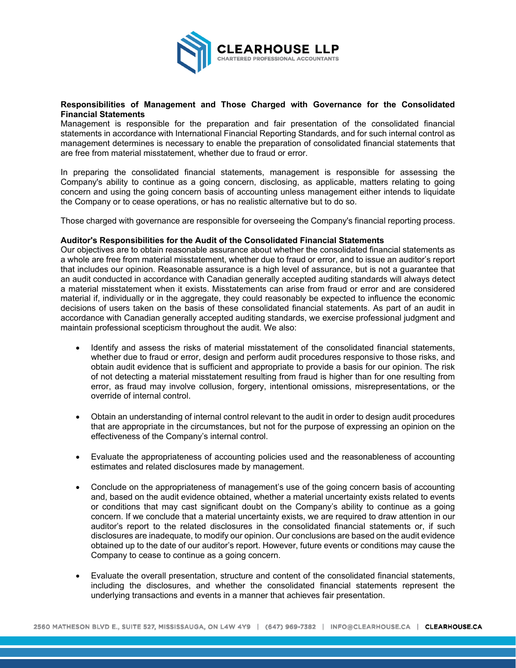

#### **Responsibilities of Management and Those Charged with Governance for the Consolidated Financial Statements**

Management is responsible for the preparation and fair presentation of the consolidated financial statements in accordance with International Financial Reporting Standards, and for such internal control as management determines is necessary to enable the preparation of consolidated financial statements that are free from material misstatement, whether due to fraud or error.

In preparing the consolidated financial statements, management is responsible for assessing the Company's ability to continue as a going concern, disclosing, as applicable, matters relating to going concern and using the going concern basis of accounting unless management either intends to liquidate the Company or to cease operations, or has no realistic alternative but to do so.

Those charged with governance are responsible for overseeing the Company's financial reporting process.

#### **Auditor's Responsibilities for the Audit of the Consolidated Financial Statements**

Our objectives are to obtain reasonable assurance about whether the consolidated financial statements as a whole are free from material misstatement, whether due to fraud or error, and to issue an auditor's report that includes our opinion. Reasonable assurance is a high level of assurance, but is not a guarantee that an audit conducted in accordance with Canadian generally accepted auditing standards will always detect a material misstatement when it exists. Misstatements can arise from fraud or error and are considered material if, individually or in the aggregate, they could reasonably be expected to influence the economic decisions of users taken on the basis of these consolidated financial statements. As part of an audit in accordance with Canadian generally accepted auditing standards, we exercise professional judgment and maintain professional scepticism throughout the audit. We also:

- Identify and assess the risks of material misstatement of the consolidated financial statements, whether due to fraud or error, design and perform audit procedures responsive to those risks, and obtain audit evidence that is sufficient and appropriate to provide a basis for our opinion. The risk of not detecting a material misstatement resulting from fraud is higher than for one resulting from error, as fraud may involve collusion, forgery, intentional omissions, misrepresentations, or the override of internal control.
- Obtain an understanding of internal control relevant to the audit in order to design audit procedures that are appropriate in the circumstances, but not for the purpose of expressing an opinion on the effectiveness of the Company's internal control.
- Evaluate the appropriateness of accounting policies used and the reasonableness of accounting estimates and related disclosures made by management.
- Conclude on the appropriateness of management's use of the going concern basis of accounting and, based on the audit evidence obtained, whether a material uncertainty exists related to events or conditions that may cast significant doubt on the Company's ability to continue as a going concern. If we conclude that a material uncertainty exists, we are required to draw attention in our auditor's report to the related disclosures in the consolidated financial statements or, if such disclosures are inadequate, to modify our opinion. Our conclusions are based on the audit evidence obtained up to the date of our auditor's report. However, future events or conditions may cause the Company to cease to continue as a going concern.
- Evaluate the overall presentation, structure and content of the consolidated financial statements, including the disclosures, and whether the consolidated financial statements represent the underlying transactions and events in a manner that achieves fair presentation.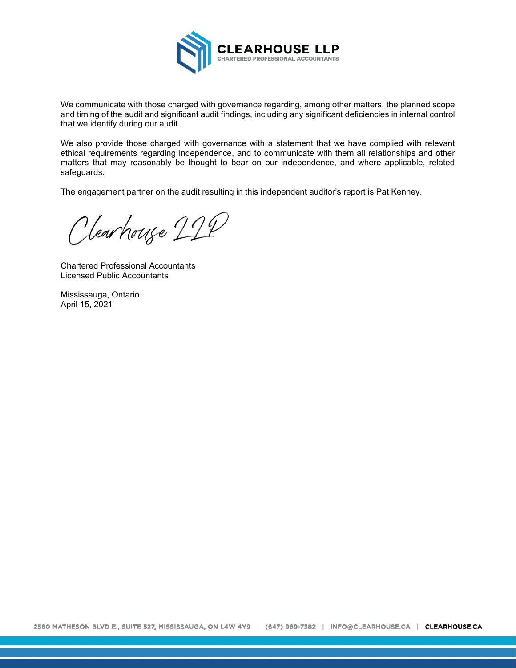

We communicate with those charged with governance regarding, among other matters, the planned scope and timing of the audit and significant audit findings, including any significant deficiencies in internal control that we identify during our audit.

We also provide those charged with governance with a statement that we have complied with relevant ethical requirements regarding independence, and to communicate with them all relationships and other matters that may reasonably be thought to bear on our independence, and where applicable, related safeguards.

The engagement partner on the audit resulting in this independent auditor's report is Pat Kenney.

Clearhouse 224

Chartered Professional Accountants Licensed Public Accountants

Mississauga, Ontario April 15, 2021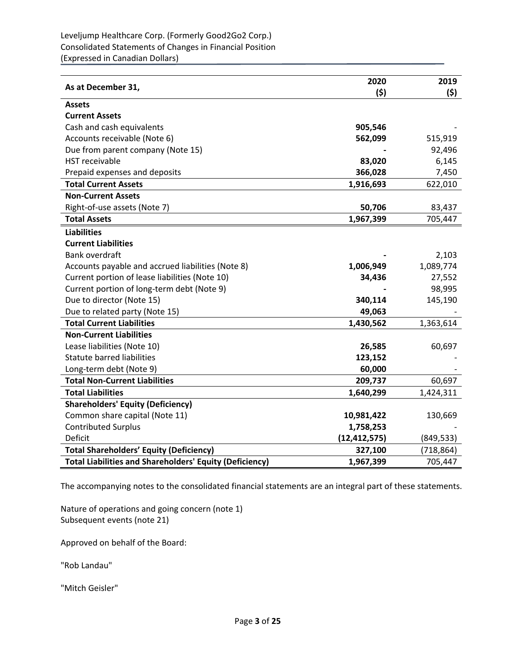# Leveljump Healthcare Corp. (Formerly Good2Go2 Corp.) Consolidated Statements of Changes in Financial Position (Expressed in Canadian Dollars)

| As at December 31,                                             | 2020           | 2019       |
|----------------------------------------------------------------|----------------|------------|
|                                                                | (5)            | (\$)       |
| <b>Assets</b>                                                  |                |            |
| <b>Current Assets</b>                                          |                |            |
| Cash and cash equivalents                                      | 905,546        |            |
| Accounts receivable (Note 6)                                   | 562,099        | 515,919    |
| Due from parent company (Note 15)                              |                | 92,496     |
| <b>HST receivable</b>                                          | 83,020         | 6,145      |
| Prepaid expenses and deposits                                  | 366,028        | 7,450      |
| <b>Total Current Assets</b>                                    | 1,916,693      | 622,010    |
| <b>Non-Current Assets</b>                                      |                |            |
| Right-of-use assets (Note 7)                                   | 50,706         | 83,437     |
| <b>Total Assets</b>                                            | 1,967,399      | 705,447    |
| <b>Liabilities</b>                                             |                |            |
| <b>Current Liabilities</b>                                     |                |            |
| <b>Bank overdraft</b>                                          |                | 2,103      |
| Accounts payable and accrued liabilities (Note 8)              | 1,006,949      | 1,089,774  |
| Current portion of lease liabilities (Note 10)                 | 34,436         | 27,552     |
| Current portion of long-term debt (Note 9)                     |                | 98,995     |
| Due to director (Note 15)                                      | 340,114        | 145,190    |
| Due to related party (Note 15)                                 | 49,063         |            |
| <b>Total Current Liabilities</b>                               | 1,430,562      | 1,363,614  |
| <b>Non-Current Liabilities</b>                                 |                |            |
| Lease liabilities (Note 10)                                    | 26,585         | 60,697     |
| <b>Statute barred liabilities</b>                              | 123,152        |            |
| Long-term debt (Note 9)                                        | 60,000         |            |
| <b>Total Non-Current Liabilities</b>                           | 209,737        | 60,697     |
| <b>Total Liabilities</b>                                       | 1,640,299      | 1,424,311  |
| <b>Shareholders' Equity (Deficiency)</b>                       |                |            |
| Common share capital (Note 11)                                 | 10,981,422     | 130,669    |
| <b>Contributed Surplus</b>                                     | 1,758,253      |            |
| Deficit                                                        | (12, 412, 575) | (849, 533) |
| <b>Total Shareholders' Equity (Deficiency)</b>                 | 327,100        | (718, 864) |
| <b>Total Liabilities and Shareholders' Equity (Deficiency)</b> | 1,967,399      | 705,447    |

The accompanying notes to the consolidated financial statements are an integral part of these statements.

Nature of operations and going concern (note 1) Subsequent events (note 21)

Approved on behalf of the Board:

"Rob Landau"

"Mitch Geisler"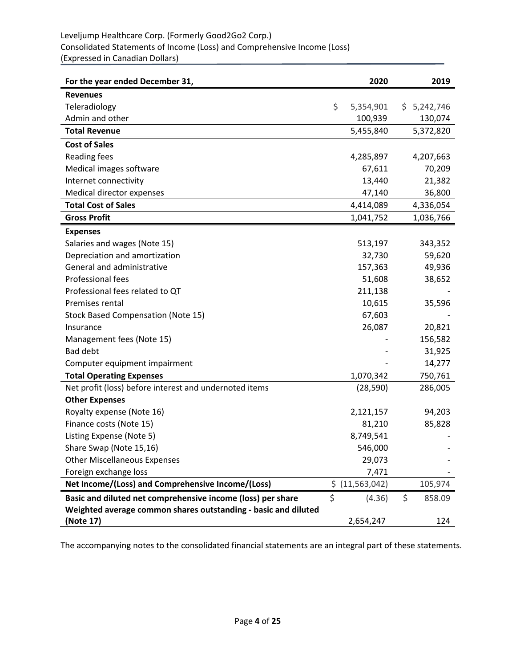# Leveljump Healthcare Corp. (Formerly Good2Go2 Corp.) Consolidated Statements of Income (Loss) and Comprehensive Income (Loss) (Expressed in Canadian Dollars)

| For the year ended December 31,                                | 2020              |     | 2019      |
|----------------------------------------------------------------|-------------------|-----|-----------|
| <b>Revenues</b>                                                |                   |     |           |
| Teleradiology                                                  | \$<br>5,354,901   | \$. | 5,242,746 |
| Admin and other                                                | 100,939           |     | 130,074   |
| <b>Total Revenue</b>                                           | 5,455,840         |     | 5,372,820 |
| <b>Cost of Sales</b>                                           |                   |     |           |
| Reading fees                                                   | 4,285,897         |     | 4,207,663 |
| Medical images software                                        | 67,611            |     | 70,209    |
| Internet connectivity                                          | 13,440            |     | 21,382    |
| Medical director expenses                                      | 47,140            |     | 36,800    |
| <b>Total Cost of Sales</b>                                     | 4,414,089         |     | 4,336,054 |
| <b>Gross Profit</b>                                            | 1,041,752         |     | 1,036,766 |
| <b>Expenses</b>                                                |                   |     |           |
| Salaries and wages (Note 15)                                   | 513,197           |     | 343,352   |
| Depreciation and amortization                                  | 32,730            |     | 59,620    |
| General and administrative                                     | 157,363           |     | 49,936    |
| Professional fees                                              | 51,608            |     | 38,652    |
| Professional fees related to QT                                | 211,138           |     |           |
| Premises rental                                                | 10,615            |     | 35,596    |
| <b>Stock Based Compensation (Note 15)</b>                      | 67,603            |     |           |
| Insurance                                                      | 26,087            |     | 20,821    |
| Management fees (Note 15)                                      |                   |     | 156,582   |
| <b>Bad debt</b>                                                |                   |     | 31,925    |
| Computer equipment impairment                                  |                   |     | 14,277    |
| <b>Total Operating Expenses</b>                                | 1,070,342         |     | 750,761   |
| Net profit (loss) before interest and undernoted items         | (28, 590)         |     | 286,005   |
| <b>Other Expenses</b>                                          |                   |     |           |
| Royalty expense (Note 16)                                      | 2,121,157         |     | 94,203    |
| Finance costs (Note 15)                                        | 81,210            |     | 85,828    |
| Listing Expense (Note 5)                                       | 8,749,541         |     |           |
| Share Swap (Note 15,16)                                        | 546,000           |     |           |
| <b>Other Miscellaneous Expenses</b>                            | 29,073            |     |           |
| Foreign exchange loss                                          | 7,471             |     |           |
| Net Income/(Loss) and Comprehensive Income/(Loss)              | \$ (11, 563, 042) |     | 105,974   |
| Basic and diluted net comprehensive income (loss) per share    | \$<br>(4.36)      | \$  | 858.09    |
| Weighted average common shares outstanding - basic and diluted |                   |     |           |
| (Note 17)                                                      | 2,654,247         |     | 124       |

The accompanying notes to the consolidated financial statements are an integral part of these statements.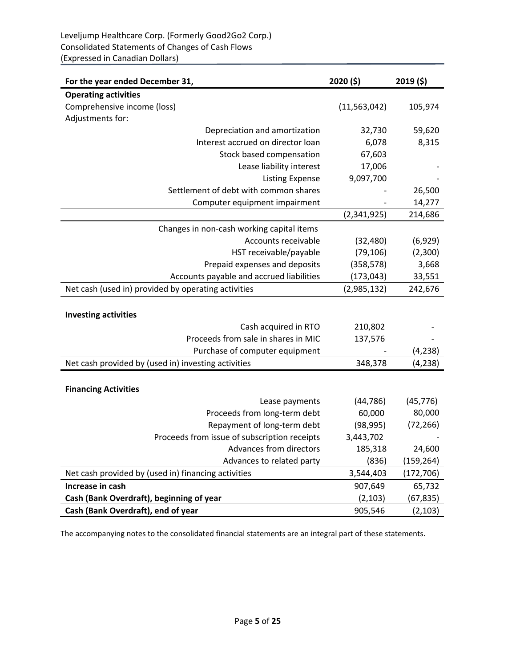| For the year ended December 31,                     | 2020 (\$)      | 2019(5)    |
|-----------------------------------------------------|----------------|------------|
| <b>Operating activities</b>                         |                |            |
| Comprehensive income (loss)                         | (11, 563, 042) | 105,974    |
| Adjustments for:                                    |                |            |
| Depreciation and amortization                       | 32,730         | 59,620     |
| Interest accrued on director loan                   | 6,078          | 8,315      |
| Stock based compensation                            | 67,603         |            |
| Lease liability interest                            | 17,006         |            |
| <b>Listing Expense</b>                              | 9,097,700      |            |
| Settlement of debt with common shares               |                | 26,500     |
| Computer equipment impairment                       |                | 14,277     |
|                                                     | (2,341,925)    | 214,686    |
| Changes in non-cash working capital items           |                |            |
| Accounts receivable                                 | (32, 480)      | (6,929)    |
| HST receivable/payable                              | (79, 106)      | (2,300)    |
| Prepaid expenses and deposits                       | (358, 578)     | 3,668      |
| Accounts payable and accrued liabilities            | (173, 043)     | 33,551     |
| Net cash (used in) provided by operating activities | (2,985,132)    | 242,676    |
|                                                     |                |            |
| <b>Investing activities</b>                         |                |            |
| Cash acquired in RTO                                | 210,802        |            |
| Proceeds from sale in shares in MIC                 | 137,576        |            |
| Purchase of computer equipment                      |                | (4, 238)   |
| Net cash provided by (used in) investing activities | 348,378        | (4, 238)   |
|                                                     |                |            |
| <b>Financing Activities</b>                         |                |            |
| Lease payments                                      | (44, 786)      | (45, 776)  |
| Proceeds from long-term debt                        | 60,000         | 80,000     |
| Repayment of long-term debt                         | (98, 995)      | (72, 266)  |
| Proceeds from issue of subscription receipts        | 3,443,702      |            |
| Advances from directors                             | 185,318        | 24,600     |
| Advances to related party                           | (836)          | (159, 264) |
| Net cash provided by (used in) financing activities | 3,544,403      | (172, 706) |
| Increase in cash                                    | 907,649        | 65,732     |
| Cash (Bank Overdraft), beginning of year            | (2, 103)       | (67, 835)  |
| Cash (Bank Overdraft), end of year                  | 905,546        | (2, 103)   |

The accompanying notes to the consolidated financial statements are an integral part of these statements.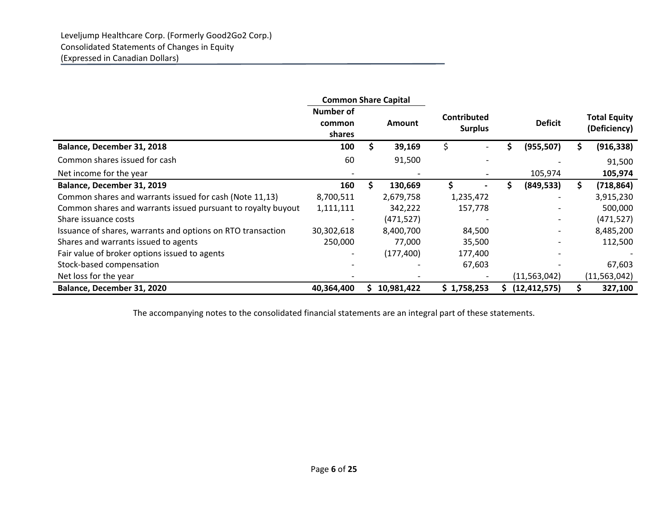|                                                              | <b>Common Share Capital</b>   |               |             |                |    |                |   |                                     |
|--------------------------------------------------------------|-------------------------------|---------------|-------------|----------------|----|----------------|---|-------------------------------------|
|                                                              | Number of<br>common<br>shares | <b>Amount</b> | Contributed | <b>Surplus</b> |    | <b>Deficit</b> |   | <b>Total Equity</b><br>(Deficiency) |
| Balance, December 31, 2018                                   | 100                           | 39,169        | \$          |                |    | (955, 507)     |   | (916, 338)                          |
| Common shares issued for cash                                | 60                            | 91,500        |             |                |    |                |   | 91,500                              |
| Net income for the year                                      |                               |               |             |                |    | 105,974        |   | 105,974                             |
| Balance, December 31, 2019                                   | 160                           | 130,669       |             |                | \$ | (849, 533)     | s | (718, 864)                          |
| Common shares and warrants issued for cash (Note 11,13)      | 8,700,511                     | 2,679,758     |             | 1,235,472      |    |                |   | 3,915,230                           |
| Common shares and warrants issued pursuant to royalty buyout | 1,111,111                     | 342,222       |             | 157,778        |    |                |   | 500,000                             |
| Share issuance costs                                         |                               | (471, 527)    |             |                |    |                |   | (471, 527)                          |
| Issuance of shares, warrants and options on RTO transaction  | 30,302,618                    | 8,400,700     |             | 84,500         |    |                |   | 8,485,200                           |
| Shares and warrants issued to agents                         | 250,000                       | 77,000        |             | 35,500         |    |                |   | 112,500                             |
| Fair value of broker options issued to agents                |                               | (177, 400)    |             | 177,400        |    |                |   |                                     |
| Stock-based compensation                                     |                               |               |             | 67,603         |    |                |   | 67,603                              |
| Net loss for the year                                        |                               |               |             |                |    | (11, 563, 042) |   | (11, 563, 042)                      |
| Balance, December 31, 2020                                   | 40,364,400                    | 10,981,422    | \$1,758,253 |                | s  | (12, 412, 575) |   | 327,100                             |

The accompanying notes to the consolidated financial statements are an integral part of these statements.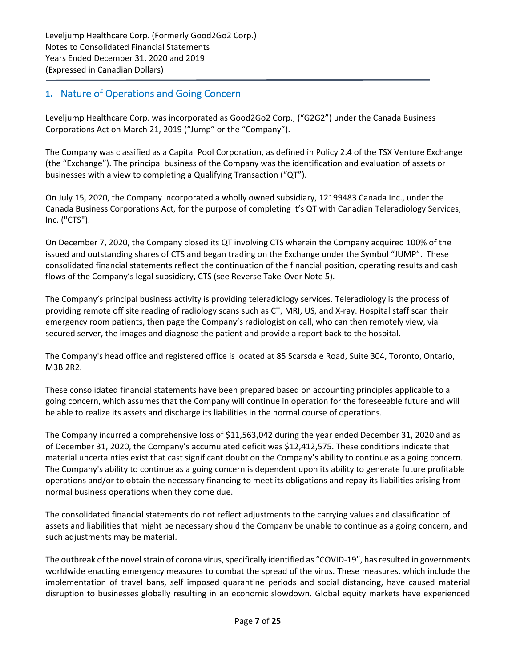# **1.** Nature of Operations and Going Concern

Leveljump Healthcare Corp. was incorporated as Good2Go2 Corp., ("G2G2") under the Canada Business Corporations Act on March 21, 2019 ("Jump" or the "Company").

The Company was classified as a Capital Pool Corporation, as defined in Policy 2.4 of the TSX Venture Exchange (the "Exchange"). The principal business of the Company was the identification and evaluation of assets or businesses with a view to completing a Qualifying Transaction ("QT").

On July 15, 2020, the Company incorporated a wholly owned subsidiary, 12199483 Canada Inc., under the Canada Business Corporations Act, for the purpose of completing it's QT with Canadian Teleradiology Services, Inc. ("CTS").

On December 7, 2020, the Company closed its QT involving CTS wherein the Company acquired 100% of the issued and outstanding shares of CTS and began trading on the Exchange under the Symbol "JUMP". These consolidated financial statements reflect the continuation of the financial position, operating results and cash flows of the Company's legal subsidiary, CTS (see Reverse Take‐Over Note 5).

The Company's principal business activity is providing teleradiology services. Teleradiology is the process of providing remote off site reading of radiology scans such as CT, MRI, US, and X‐ray. Hospital staff scan their emergency room patients, then page the Company's radiologist on call, who can then remotely view, via secured server, the images and diagnose the patient and provide a report back to the hospital.

The Company's head office and registered office is located at 85 Scarsdale Road, Suite 304, Toronto, Ontario, M3B 2R2.

These consolidated financial statements have been prepared based on accounting principles applicable to a going concern, which assumes that the Company will continue in operation for the foreseeable future and will be able to realize its assets and discharge its liabilities in the normal course of operations.

The Company incurred a comprehensive loss of \$11,563,042 during the year ended December 31, 2020 and as of December 31, 2020, the Company's accumulated deficit was \$12,412,575. These conditions indicate that material uncertainties exist that cast significant doubt on the Company's ability to continue as a going concern. The Company's ability to continue as a going concern is dependent upon its ability to generate future profitable operations and/or to obtain the necessary financing to meet its obligations and repay its liabilities arising from normal business operations when they come due.

The consolidated financial statements do not reflect adjustments to the carrying values and classification of assets and liabilities that might be necessary should the Company be unable to continue as a going concern, and such adjustments may be material.

The outbreak of the novel strain of corona virus, specifically identified as "COVID-19", has resulted in governments worldwide enacting emergency measures to combat the spread of the virus. These measures, which include the implementation of travel bans, self imposed quarantine periods and social distancing, have caused material disruption to businesses globally resulting in an economic slowdown. Global equity markets have experienced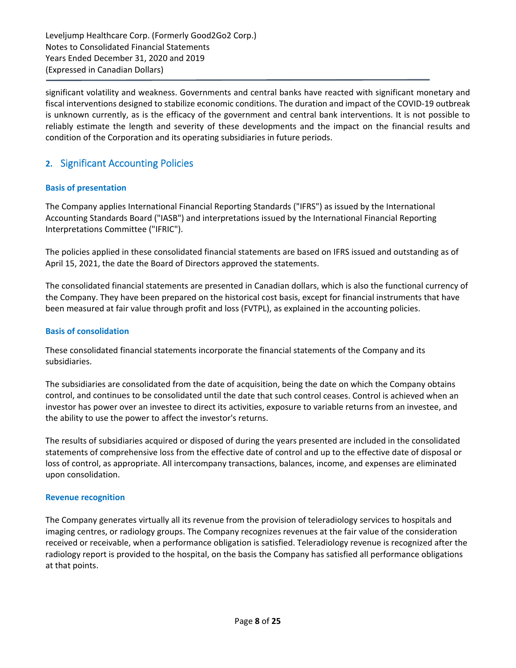Leveljump Healthcare Corp. (Formerly Good2Go2 Corp.) Notes to Consolidated Financial Statements Years Ended December 31, 2020 and 2019 (Expressed in Canadian Dollars)

significant volatility and weakness. Governments and central banks have reacted with significant monetary and fiscal interventions designed to stabilize economic conditions. The duration and impact of the COVID‐19 outbreak is unknown currently, as is the efficacy of the government and central bank interventions. It is not possible to reliably estimate the length and severity of these developments and the impact on the financial results and condition of the Corporation and its operating subsidiaries in future periods.

# **2.** Significant Accounting Policies

## **Basis of presentation**

The Company applies International Financial Reporting Standards ("IFRS") as issued by the International Accounting Standards Board ("IASB") and interpretations issued by the International Financial Reporting Interpretations Committee ("IFRIC").

The policies applied in these consolidated financial statements are based on IFRS issued and outstanding as of April 15, 2021, the date the Board of Directors approved the statements.

The consolidated financial statements are presented in Canadian dollars, which is also the functional currency of the Company. They have been prepared on the historical cost basis, except for financial instruments that have been measured at fair value through profit and loss (FVTPL), as explained in the accounting policies.

## **Basis of consolidation**

These consolidated financial statements incorporate the financial statements of the Company and its subsidiaries.

The subsidiaries are consolidated from the date of acquisition, being the date on which the Company obtains control, and continues to be consolidated until the date that such control ceases. Control is achieved when an investor has power over an investee to direct its activities, exposure to variable returns from an investee, and the ability to use the power to affect the investor's returns.

The results of subsidiaries acquired or disposed of during the years presented are included in the consolidated statements of comprehensive loss from the effective date of control and up to the effective date of disposal or loss of control, as appropriate. All intercompany transactions, balances, income, and expenses are eliminated upon consolidation.

#### **Revenue recognition**

The Company generates virtually all its revenue from the provision of teleradiology services to hospitals and imaging centres, or radiology groups. The Company recognizes revenues at the fair value of the consideration received or receivable, when a performance obligation is satisfied. Teleradiology revenue is recognized after the radiology report is provided to the hospital, on the basis the Company has satisfied all performance obligations at that points.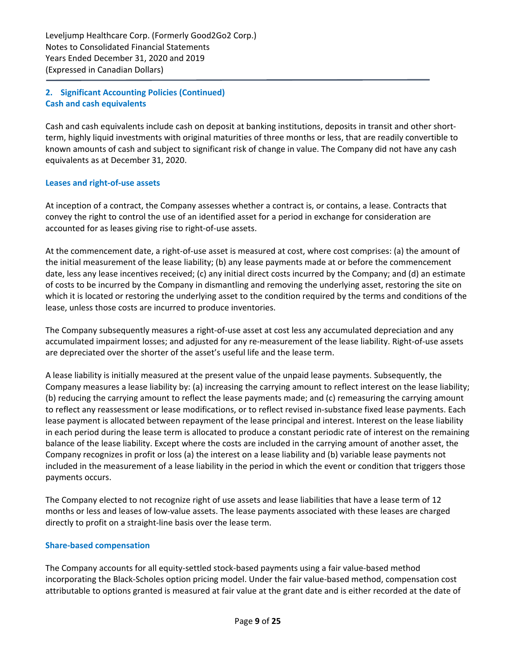# **2. Significant Accounting Policies (Continued) Cash and cash equivalents**

Cash and cash equivalents include cash on deposit at banking institutions, deposits in transit and other short‐ term, highly liquid investments with original maturities of three months or less, that are readily convertible to known amounts of cash and subject to significant risk of change in value. The Company did not have any cash equivalents as at December 31, 2020.

# **Leases and right‐of‐use assets**

At inception of a contract, the Company assesses whether a contract is, or contains, a lease. Contracts that convey the right to control the use of an identified asset for a period in exchange for consideration are accounted for as leases giving rise to right‐of‐use assets.

At the commencement date, a right‐of‐use asset is measured at cost, where cost comprises: (a) the amount of the initial measurement of the lease liability; (b) any lease payments made at or before the commencement date, less any lease incentives received; (c) any initial direct costs incurred by the Company; and (d) an estimate of costs to be incurred by the Company in dismantling and removing the underlying asset, restoring the site on which it is located or restoring the underlying asset to the condition required by the terms and conditions of the lease, unless those costs are incurred to produce inventories.

The Company subsequently measures a right‐of‐use asset at cost less any accumulated depreciation and any accumulated impairment losses; and adjusted for any re‐measurement of the lease liability. Right‐of‐use assets are depreciated over the shorter of the asset's useful life and the lease term.

A lease liability is initially measured at the present value of the unpaid lease payments. Subsequently, the Company measures a lease liability by: (a) increasing the carrying amount to reflect interest on the lease liability; (b) reducing the carrying amount to reflect the lease payments made; and (c) remeasuring the carrying amount to reflect any reassessment or lease modifications, or to reflect revised in‐substance fixed lease payments. Each lease payment is allocated between repayment of the lease principal and interest. Interest on the lease liability in each period during the lease term is allocated to produce a constant periodic rate of interest on the remaining balance of the lease liability. Except where the costs are included in the carrying amount of another asset, the Company recognizes in profit or loss (a) the interest on a lease liability and (b) variable lease payments not included in the measurement of a lease liability in the period in which the event or condition that triggers those payments occurs.

The Company elected to not recognize right of use assets and lease liabilities that have a lease term of 12 months or less and leases of low‐value assets. The lease payments associated with these leases are charged directly to profit on a straight‐line basis over the lease term.

## **Share‐based compensation**

The Company accounts for all equity‐settled stock‐based payments using a fair value‐based method incorporating the Black‐Scholes option pricing model. Under the fair value‐based method, compensation cost attributable to options granted is measured at fair value at the grant date and is either recorded at the date of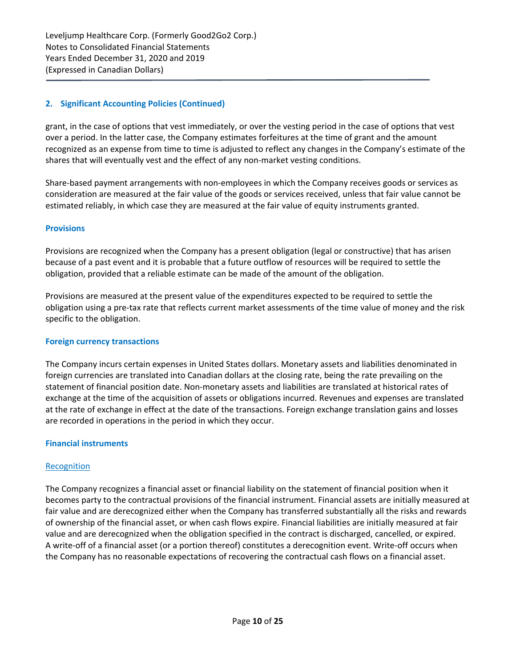grant, in the case of options that vest immediately, or over the vesting period in the case of options that vest over a period. In the latter case, the Company estimates forfeitures at the time of grant and the amount recognized as an expense from time to time is adjusted to reflect any changes in the Company's estimate of the shares that will eventually vest and the effect of any non-market vesting conditions.

Share‐based payment arrangements with non‐employees in which the Company receives goods or services as consideration are measured at the fair value of the goods or services received, unless that fair value cannot be estimated reliably, in which case they are measured at the fair value of equity instruments granted.

## **Provisions**

Provisions are recognized when the Company has a present obligation (legal or constructive) that has arisen because of a past event and it is probable that a future outflow of resources will be required to settle the obligation, provided that a reliable estimate can be made of the amount of the obligation.

Provisions are measured at the present value of the expenditures expected to be required to settle the obligation using a pre‐tax rate that reflects current market assessments of the time value of money and the risk specific to the obligation.

#### **Foreign currency transactions**

The Company incurs certain expenses in United States dollars. Monetary assets and liabilities denominated in foreign currencies are translated into Canadian dollars at the closing rate, being the rate prevailing on the statement of financial position date. Non‐monetary assets and liabilities are translated at historical rates of exchange at the time of the acquisition of assets or obligations incurred. Revenues and expenses are translated at the rate of exchange in effect at the date of the transactions. Foreign exchange translation gains and losses are recorded in operations in the period in which they occur.

## **Financial instruments**

## **Recognition**

The Company recognizes a financial asset or financial liability on the statement of financial position when it becomes party to the contractual provisions of the financial instrument. Financial assets are initially measured at fair value and are derecognized either when the Company has transferred substantially all the risks and rewards of ownership of the financial asset, or when cash flows expire. Financial liabilities are initially measured at fair value and are derecognized when the obligation specified in the contract is discharged, cancelled, or expired. A write‐off of a financial asset (or a portion thereof) constitutes a derecognition event. Write‐off occurs when the Company has no reasonable expectations of recovering the contractual cash flows on a financial asset.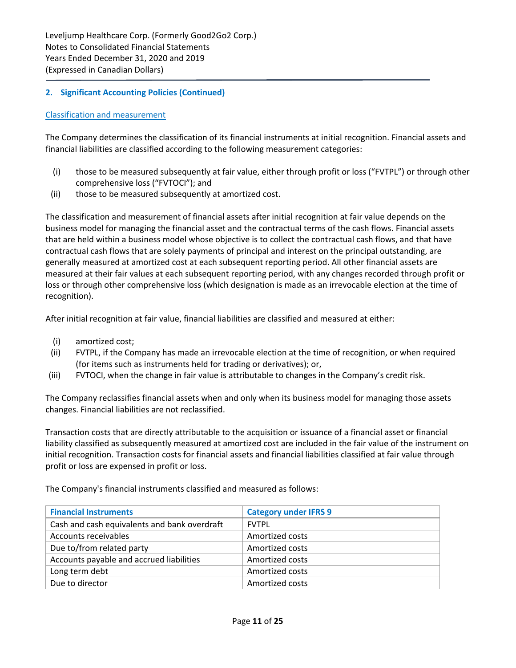## Classification and measurement

The Company determines the classification of its financial instruments at initial recognition. Financial assets and financial liabilities are classified according to the following measurement categories:

- (i) those to be measured subsequently at fair value, either through profit or loss ("FVTPL") or through other comprehensive loss ("FVTOCI"); and
- (ii) those to be measured subsequently at amortized cost.

The classification and measurement of financial assets after initial recognition at fair value depends on the business model for managing the financial asset and the contractual terms of the cash flows. Financial assets that are held within a business model whose objective is to collect the contractual cash flows, and that have contractual cash flows that are solely payments of principal and interest on the principal outstanding, are generally measured at amortized cost at each subsequent reporting period. All other financial assets are measured at their fair values at each subsequent reporting period, with any changes recorded through profit or loss or through other comprehensive loss (which designation is made as an irrevocable election at the time of recognition).

After initial recognition at fair value, financial liabilities are classified and measured at either:

- (i) amortized cost;
- (ii) FVTPL, if the Company has made an irrevocable election at the time of recognition, or when required (for items such as instruments held for trading or derivatives); or,
- (iii) FVTOCI, when the change in fair value is attributable to changes in the Company's credit risk.

The Company reclassifies financial assets when and only when its business model for managing those assets changes. Financial liabilities are not reclassified.

Transaction costs that are directly attributable to the acquisition or issuance of a financial asset or financial liability classified as subsequently measured at amortized cost are included in the fair value of the instrument on initial recognition. Transaction costs for financial assets and financial liabilities classified at fair value through profit or loss are expensed in profit or loss.

The Company's financial instruments classified and measured as follows:

| <b>Financial Instruments</b>                 | <b>Category under IFRS 9</b> |
|----------------------------------------------|------------------------------|
| Cash and cash equivalents and bank overdraft | <b>FVTPL</b>                 |
| Accounts receivables                         | Amortized costs              |
| Due to/from related party                    | Amortized costs              |
| Accounts payable and accrued liabilities     | Amortized costs              |
| Long term debt                               | Amortized costs              |
| Due to director                              | Amortized costs              |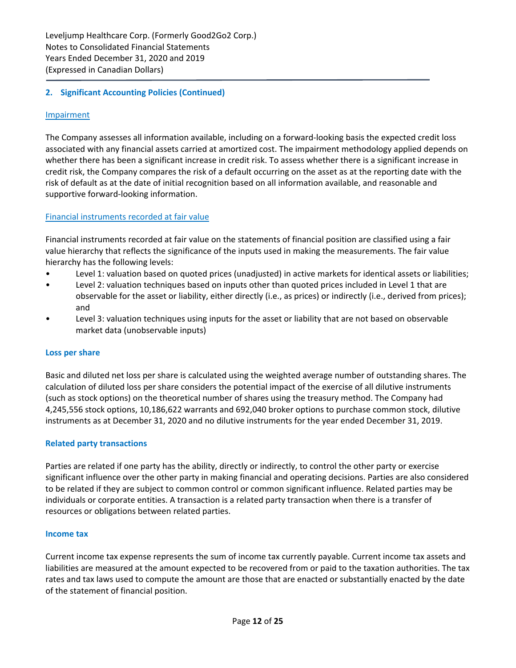## Impairment

The Company assesses all information available, including on a forward‐looking basis the expected credit loss associated with any financial assets carried at amortized cost. The impairment methodology applied depends on whether there has been a significant increase in credit risk. To assess whether there is a significant increase in credit risk, the Company compares the risk of a default occurring on the asset as at the reporting date with the risk of default as at the date of initial recognition based on all information available, and reasonable and supportive forward‐looking information.

## Financial instruments recorded at fair value

Financial instruments recorded at fair value on the statements of financial position are classified using a fair value hierarchy that reflects the significance of the inputs used in making the measurements. The fair value hierarchy has the following levels:

- Level 1: valuation based on quoted prices (unadjusted) in active markets for identical assets or liabilities;
- Level 2: valuation techniques based on inputs other than quoted prices included in Level 1 that are observable for the asset or liability, either directly (i.e., as prices) or indirectly (i.e., derived from prices); and
- Level 3: valuation techniques using inputs for the asset or liability that are not based on observable market data (unobservable inputs)

## **Loss per share**

Basic and diluted net loss per share is calculated using the weighted average number of outstanding shares. The calculation of diluted loss per share considers the potential impact of the exercise of all dilutive instruments (such as stock options) on the theoretical number of shares using the treasury method. The Company had 4,245,556 stock options, 10,186,622 warrants and 692,040 broker options to purchase common stock, dilutive instruments as at December 31, 2020 and no dilutive instruments for the year ended December 31, 2019.

## **Related party transactions**

Parties are related if one party has the ability, directly or indirectly, to control the other party or exercise significant influence over the other party in making financial and operating decisions. Parties are also considered to be related if they are subject to common control or common significant influence. Related parties may be individuals or corporate entities. A transaction is a related party transaction when there is a transfer of resources or obligations between related parties.

#### **Income tax**

Current income tax expense represents the sum of income tax currently payable. Current income tax assets and liabilities are measured at the amount expected to be recovered from or paid to the taxation authorities. The tax rates and tax laws used to compute the amount are those that are enacted or substantially enacted by the date of the statement of financial position.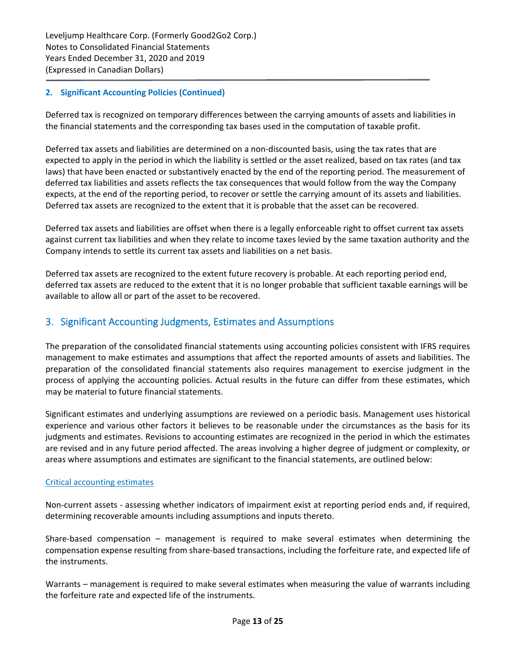Deferred tax is recognized on temporary differences between the carrying amounts of assets and liabilities in the financial statements and the corresponding tax bases used in the computation of taxable profit.

Deferred tax assets and liabilities are determined on a non-discounted basis, using the tax rates that are expected to apply in the period in which the liability is settled or the asset realized, based on tax rates (and tax laws) that have been enacted or substantively enacted by the end of the reporting period. The measurement of deferred tax liabilities and assets reflects the tax consequences that would follow from the way the Company expects, at the end of the reporting period, to recover or settle the carrying amount of its assets and liabilities. Deferred tax assets are recognized to the extent that it is probable that the asset can be recovered.

Deferred tax assets and liabilities are offset when there is a legally enforceable right to offset current tax assets against current tax liabilities and when they relate to income taxes levied by the same taxation authority and the Company intends to settle its current tax assets and liabilities on a net basis.

Deferred tax assets are recognized to the extent future recovery is probable. At each reporting period end, deferred tax assets are reduced to the extent that it is no longer probable that sufficient taxable earnings will be available to allow all or part of the asset to be recovered.

# 3. Significant Accounting Judgments, Estimates and Assumptions

The preparation of the consolidated financial statements using accounting policies consistent with IFRS requires management to make estimates and assumptions that affect the reported amounts of assets and liabilities. The preparation of the consolidated financial statements also requires management to exercise judgment in the process of applying the accounting policies. Actual results in the future can differ from these estimates, which may be material to future financial statements.

Significant estimates and underlying assumptions are reviewed on a periodic basis. Management uses historical experience and various other factors it believes to be reasonable under the circumstances as the basis for its judgments and estimates. Revisions to accounting estimates are recognized in the period in which the estimates are revised and in any future period affected. The areas involving a higher degree of judgment or complexity, or areas where assumptions and estimates are significant to the financial statements, are outlined below:

## Critical accounting estimates

Non-current assets - assessing whether indicators of impairment exist at reporting period ends and, if required, determining recoverable amounts including assumptions and inputs thereto.

Share‐based compensation – management is required to make several estimates when determining the compensation expense resulting from share‐based transactions, including the forfeiture rate, and expected life of the instruments.

Warrants – management is required to make several estimates when measuring the value of warrants including the forfeiture rate and expected life of the instruments.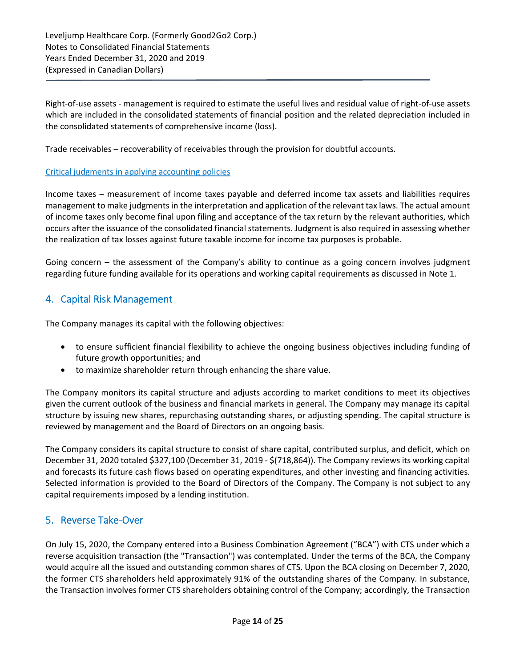Right‐of‐use assets ‐ management is required to estimate the useful lives and residual value of right‐of‐use assets which are included in the consolidated statements of financial position and the related depreciation included in the consolidated statements of comprehensive income (loss).

Trade receivables – recoverability of receivables through the provision for doubtful accounts.

## Critical judgments in applying accounting policies

Income taxes – measurement of income taxes payable and deferred income tax assets and liabilities requires management to make judgments in the interpretation and application of the relevant tax laws. The actual amount of income taxes only become final upon filing and acceptance of the tax return by the relevant authorities, which occurs after the issuance of the consolidated financial statements. Judgment is also required in assessing whether the realization of tax losses against future taxable income for income tax purposes is probable.

Going concern – the assessment of the Company's ability to continue as a going concern involves judgment regarding future funding available for its operations and working capital requirements as discussed in Note 1.

# 4. Capital Risk Management

The Company manages its capital with the following objectives:

- to ensure sufficient financial flexibility to achieve the ongoing business objectives including funding of future growth opportunities; and
- to maximize shareholder return through enhancing the share value.

The Company monitors its capital structure and adjusts according to market conditions to meet its objectives given the current outlook of the business and financial markets in general. The Company may manage its capital structure by issuing new shares, repurchasing outstanding shares, or adjusting spending. The capital structure is reviewed by management and the Board of Directors on an ongoing basis.

The Company considers its capital structure to consist of share capital, contributed surplus, and deficit, which on December 31, 2020 totaled \$327,100 (December 31, 2019 ‐ \$(718,864)). The Company reviews its working capital and forecasts its future cash flows based on operating expenditures, and other investing and financing activities. Selected information is provided to the Board of Directors of the Company. The Company is not subject to any capital requirements imposed by a lending institution.

# 5. Reverse Take‐Over

On July 15, 2020, the Company entered into a Business Combination Agreement ("BCA") with CTS under which a reverse acquisition transaction (the "Transaction") was contemplated. Under the terms of the BCA, the Company would acquire all the issued and outstanding common shares of CTS. Upon the BCA closing on December 7, 2020, the former CTS shareholders held approximately 91% of the outstanding shares of the Company. In substance, the Transaction involves former CTS shareholders obtaining control of the Company; accordingly, the Transaction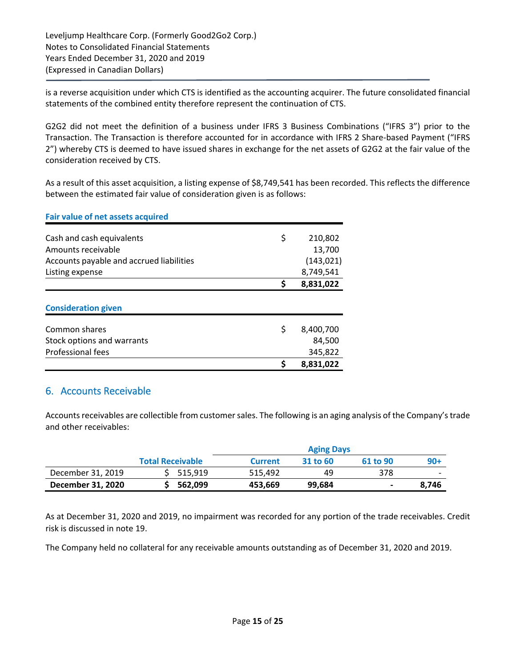is a reverse acquisition under which CTS is identified as the accounting acquirer. The future consolidated financial statements of the combined entity therefore represent the continuation of CTS.

G2G2 did not meet the definition of a business under IFRS 3 Business Combinations ("IFRS 3") prior to the Transaction. The Transaction is therefore accounted for in accordance with IFRS 2 Share‐based Payment ("IFRS 2") whereby CTS is deemed to have issued shares in exchange for the net assets of G2G2 at the fair value of the consideration received by CTS.

As a result of this asset acquisition, a listing expense of \$8,749,541 has been recorded. This reflects the difference between the estimated fair value of consideration given is as follows:

## **Fair value of net assets acquired**

| Amounts receivable                          |    | 13,700     |
|---------------------------------------------|----|------------|
| Accounts payable and accrued liabilities    |    | (143, 021) |
| Listing expense                             |    | 8,749,541  |
|                                             | Ś  | 8,831,022  |
| <b>Consideration given</b>                  |    |            |
|                                             |    |            |
|                                             | \$ | 8,400,700  |
| Common shares<br>Stock options and warrants |    | 84,500     |
| Professional fees                           |    | 345,822    |

## 6. Accounts Receivable

Accounts receivables are collectible from customer sales. The following is an aging analysis of the Company's trade and other receivables:

|                   |                         |                | <b>Aging Days</b> |                |                          |
|-------------------|-------------------------|----------------|-------------------|----------------|--------------------------|
|                   | <b>Total Receivable</b> | <b>Current</b> | 31 to 60          | 61 to 90       | $90+$                    |
| December 31, 2019 | 515.919                 | 515.492        | 49                | 378            | $\overline{\phantom{0}}$ |
| December 31, 2020 | 562.099                 | 453,669        | 99.684            | $\blacksquare$ | 8.746                    |

As at December 31, 2020 and 2019, no impairment was recorded for any portion of the trade receivables. Credit risk is discussed in note 19.

The Company held no collateral for any receivable amounts outstanding as of December 31, 2020 and 2019.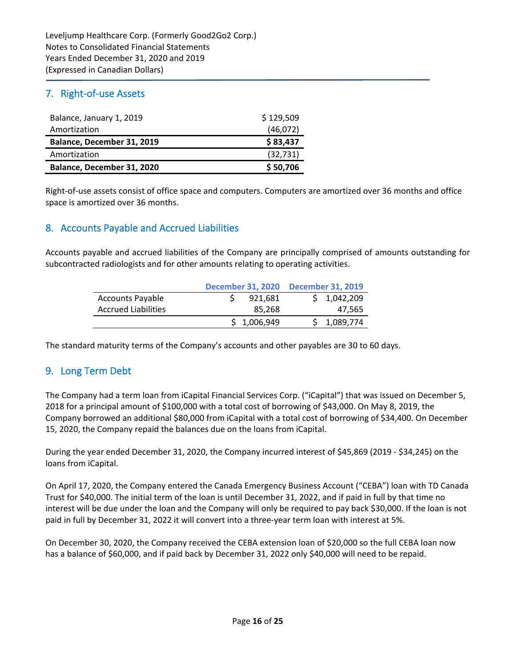# 7. Right‐of‐use Assets

| Balance, January 1, 2019   | \$129,509 |
|----------------------------|-----------|
| Amortization               | (46,072)  |
| Balance, December 31, 2019 | \$83,437  |
| Amortization               | (32, 731) |
| Balance, December 31, 2020 | \$50,706  |

Right‐of‐use assets consist of office space and computers. Computers are amortized over 36 months and office space is amortized over 36 months.

# 8. Accounts Payable and Accrued Liabilities

Accounts payable and accrued liabilities of the Company are principally comprised of amounts outstanding for subcontracted radiologists and for other amounts relating to operating activities.

|                            |             | December 31, 2020 December 31, 2019 |
|----------------------------|-------------|-------------------------------------|
| <b>Accounts Payable</b>    | 921,681     | \$1,042,209                         |
| <b>Accrued Liabilities</b> | 85.268      | 47,565                              |
|                            | \$1,006,949 | 1,089,774                           |

The standard maturity terms of the Company's accounts and other payables are 30 to 60 days.

# 9. Long Term Debt

The Company had a term loan from iCapital Financial Services Corp. ("iCapital") that was issued on December 5, 2018 for a principal amount of \$100,000 with a total cost of borrowing of \$43,000. On May 8, 2019, the Company borrowed an additional \$80,000 from iCapital with a total cost of borrowing of \$34,400. On December 15, 2020, the Company repaid the balances due on the loans from iCapital.

During the year ended December 31, 2020, the Company incurred interest of \$45,869 (2019 - \$34,245) on the loans from iCapital.

On April 17, 2020, the Company entered the Canada Emergency Business Account ("CEBA") loan with TD Canada Trust for \$40,000. The initial term of the loan is until December 31, 2022, and if paid in full by that time no interest will be due under the loan and the Company will only be required to pay back \$30,000. If the loan is not paid in full by December 31, 2022 it will convert into a three‐year term loan with interest at 5%.

On December 30, 2020, the Company received the CEBA extension loan of \$20,000 so the full CEBA loan now has a balance of \$60,000, and if paid back by December 31, 2022 only \$40,000 will need to be repaid.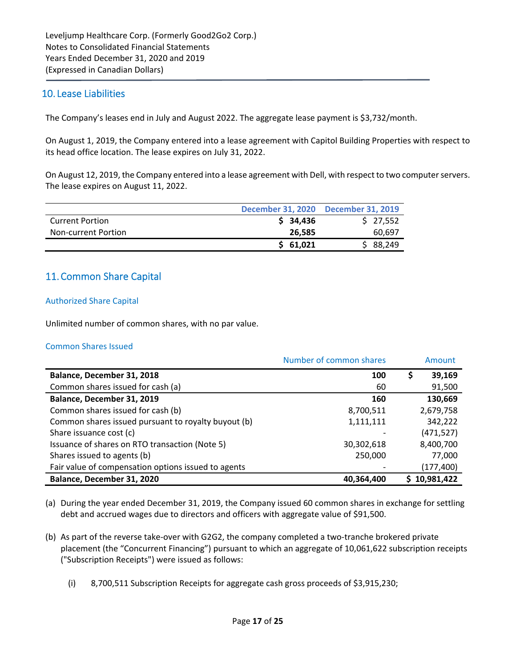# 10. Lease Liabilities

The Company's leases end in July and August 2022. The aggregate lease payment is \$3,732/month.

On August 1, 2019, the Company entered into a lease agreement with Capitol Building Properties with respect to its head office location. The lease expires on July 31, 2022.

On August 12, 2019, the Company entered into a lease agreement with Dell, with respect to two computer servers. The lease expires on August 11, 2022.

|                        |          | December 31, 2020 December 31, 2019 |
|------------------------|----------|-------------------------------------|
| <b>Current Portion</b> | \$34,436 | \$27,552                            |
| Non-current Portion    | 26.585   | 60,697                              |
|                        | \$61,021 | \$88,249                            |

# 11.Common Share Capital

## Authorized Share Capital

Unlimited number of common shares, with no par value.

## Common Shares Issued

|                                                     | Number of common shares | Amount       |
|-----------------------------------------------------|-------------------------|--------------|
| Balance, December 31, 2018                          | 100                     | 39,169       |
| Common shares issued for cash (a)                   | 60                      | 91,500       |
| Balance, December 31, 2019                          | 160                     | 130,669      |
| Common shares issued for cash (b)                   | 8,700,511               | 2,679,758    |
| Common shares issued pursuant to royalty buyout (b) | 1,111,111               | 342,222      |
| Share issuance cost (c)                             |                         | (471, 527)   |
| Issuance of shares on RTO transaction (Note 5)      | 30,302,618              | 8,400,700    |
| Shares issued to agents (b)                         | 250,000                 | 77,000       |
| Fair value of compensation options issued to agents |                         | (177, 400)   |
| Balance, December 31, 2020                          | 40,364,400              | \$10,981,422 |

- (a) During the year ended December 31, 2019, the Company issued 60 common shares in exchange for settling debt and accrued wages due to directors and officers with aggregate value of \$91,500.
- (b) As part of the reverse take‐over with G2G2, the company completed a two‐tranche brokered private placement (the "Concurrent Financing") pursuant to which an aggregate of 10,061,622 subscription receipts ("Subscription Receipts") were issued as follows:
	- (i) 8,700,511 Subscription Receipts for aggregate cash gross proceeds of \$3,915,230;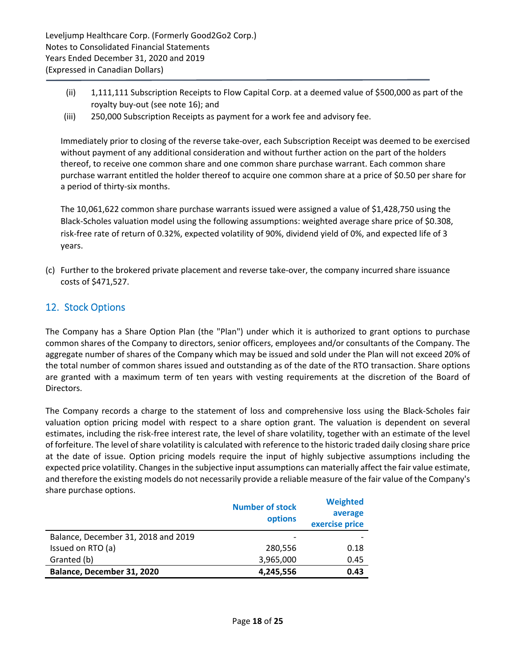- (ii) 1,111,111 Subscription Receipts to Flow Capital Corp. at a deemed value of \$500,000 as part of the royalty buy‐out (see note 16); and
- (iii) 250,000 Subscription Receipts as payment for a work fee and advisory fee.

Immediately prior to closing of the reverse take‐over, each Subscription Receipt was deemed to be exercised without payment of any additional consideration and without further action on the part of the holders thereof, to receive one common share and one common share purchase warrant. Each common share purchase warrant entitled the holder thereof to acquire one common share at a price of \$0.50 per share for a period of thirty‐six months.

The 10,061,622 common share purchase warrants issued were assigned a value of \$1,428,750 using the Black‐Scholes valuation model using the following assumptions: weighted average share price of \$0.308, risk‐free rate of return of 0.32%, expected volatility of 90%, dividend yield of 0%, and expected life of 3 years.

(c) Further to the brokered private placement and reverse take‐over, the company incurred share issuance costs of \$471,527.

# 12. Stock Options

The Company has a Share Option Plan (the "Plan") under which it is authorized to grant options to purchase common shares of the Company to directors, senior officers, employees and/or consultants of the Company. The aggregate number of shares of the Company which may be issued and sold under the Plan will not exceed 20% of the total number of common shares issued and outstanding as of the date of the RTO transaction. Share options are granted with a maximum term of ten years with vesting requirements at the discretion of the Board of Directors.

The Company records a charge to the statement of loss and comprehensive loss using the Black‐Scholes fair valuation option pricing model with respect to a share option grant. The valuation is dependent on several estimates, including the risk‐free interest rate, the level of share volatility, together with an estimate of the level of forfeiture. The level of share volatility is calculated with reference to the historic traded daily closing share price at the date of issue. Option pricing models require the input of highly subjective assumptions including the expected price volatility. Changes in the subjective input assumptions can materially affect the fair value estimate, and therefore the existing models do not necessarily provide a reliable measure of the fair value of the Company's share purchase options.

|                                     | <b>Number of stock</b><br>options | <b>Weighted</b><br>average<br>exercise price |
|-------------------------------------|-----------------------------------|----------------------------------------------|
| Balance, December 31, 2018 and 2019 |                                   |                                              |
| Issued on RTO (a)                   | 280,556                           | 0.18                                         |
| Granted (b)                         | 3,965,000                         | 0.45                                         |
| Balance, December 31, 2020          | 4,245,556                         | 0.43                                         |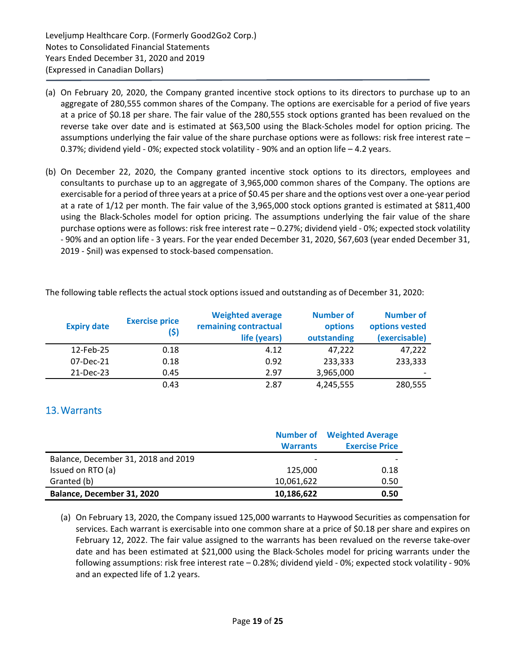- (a) On February 20, 2020, the Company granted incentive stock options to its directors to purchase up to an aggregate of 280,555 common shares of the Company. The options are exercisable for a period of five years at a price of \$0.18 per share. The fair value of the 280,555 stock options granted has been revalued on the reverse take over date and is estimated at \$63,500 using the Black‐Scholes model for option pricing. The assumptions underlying the fair value of the share purchase options were as follows: risk free interest rate – 0.37%; dividend yield ‐ 0%; expected stock volatility ‐ 90% and an option life – 4.2 years.
- (b) On December 22, 2020, the Company granted incentive stock options to its directors, employees and consultants to purchase up to an aggregate of 3,965,000 common shares of the Company. The options are exercisable for a period of three years at a price of \$0.45 pershare and the options vest over a one‐year period at a rate of 1/12 per month. The fair value of the 3,965,000 stock options granted is estimated at \$811,400 using the Black‐Scholes model for option pricing. The assumptions underlying the fair value of the share purchase options were as follows: risk free interest rate – 0.27%; dividend yield ‐ 0%; expected stock volatility ‐ 90% and an option life ‐ 3 years. For the year ended December 31, 2020, \$67,603 (year ended December 31, 2019 ‐ \$nil) was expensed to stock‐based compensation.

| Number of      | Number of   | <b>Weighted average</b> |                       |                    |
|----------------|-------------|-------------------------|-----------------------|--------------------|
| options vested | options     | remaining contractual   | <b>Exercise price</b> | <b>Expiry date</b> |
| (exercisable)  | outstanding | life (years)            | (5)                   |                    |

The following table reflects the actual stock options issued and outstanding as of December 31, 2020:

| <b>Expiry date</b> | <b>Exercise price</b><br>(5) | remaining contractual<br>life (years) | options<br>outstanding | options vested<br>(exercisable) |
|--------------------|------------------------------|---------------------------------------|------------------------|---------------------------------|
| 12-Feb-25          | 0.18                         | 4.12                                  | 47.222                 | 47,222                          |
| 07-Dec-21          | 0.18                         | 0.92                                  | 233,333                | 233,333                         |
| 21-Dec-23          | 0.45                         | 2.97                                  | 3,965,000              | $\overline{\phantom{a}}$        |
|                    | 0.43                         | 2.87                                  | 4,245,555              | 280,555                         |

# 13.Warrants

|                                     | <b>Number of</b><br><b>Warrants</b> | <b>Weighted Average</b><br><b>Exercise Price</b> |
|-------------------------------------|-------------------------------------|--------------------------------------------------|
| Balance, December 31, 2018 and 2019 | $\overline{\phantom{0}}$            |                                                  |
| Issued on RTO (a)                   | 125,000                             | 0.18                                             |
| Granted (b)                         | 10,061,622                          | 0.50                                             |
| Balance, December 31, 2020          | 10,186,622                          | 0.50                                             |

<sup>(</sup>a) On February 13, 2020, the Company issued 125,000 warrants to Haywood Securities as compensation for services. Each warrant is exercisable into one common share at a price of \$0.18 per share and expires on February 12, 2022. The fair value assigned to the warrants has been revalued on the reverse take‐over date and has been estimated at \$21,000 using the Black‐Scholes model for pricing warrants under the following assumptions: risk free interest rate – 0.28%; dividend yield ‐ 0%; expected stock volatility ‐ 90% and an expected life of 1.2 years.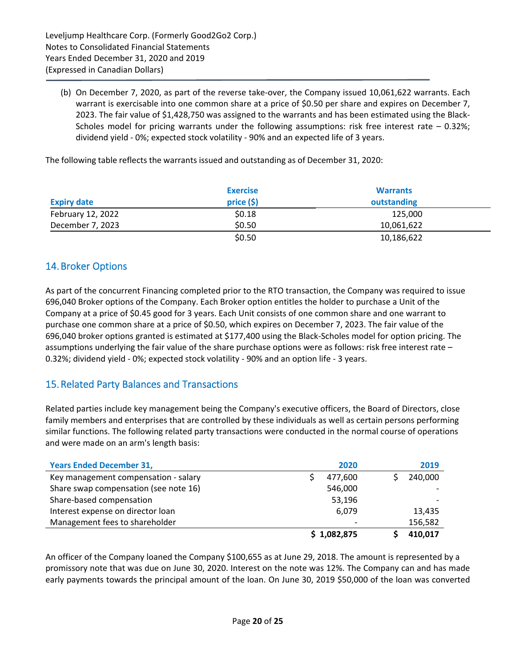(b) On December 7, 2020, as part of the reverse take‐over, the Company issued 10,061,622 warrants. Each warrant is exercisable into one common share at a price of \$0.50 per share and expires on December 7, 2023. The fair value of \$1,428,750 was assigned to the warrants and has been estimated using the Black‐ Scholes model for pricing warrants under the following assumptions: risk free interest rate  $-0.32\%$ ; dividend yield ‐ 0%; expected stock volatility ‐ 90% and an expected life of 3 years.

The following table reflects the warrants issued and outstanding as of December 31, 2020:

|                    | <b>Exercise</b> | <b>Warrants</b> |
|--------------------|-----------------|-----------------|
| <b>Expiry date</b> | price(5)        | outstanding     |
| February 12, 2022  | \$0.18          | 125,000         |
| December 7, 2023   | \$0.50          | 10,061,622      |
|                    | \$0.50          | 10,186,622      |

# 14.Broker Options

As part of the concurrent Financing completed prior to the RTO transaction, the Company was required to issue 696,040 Broker options of the Company. Each Broker option entitles the holder to purchase a Unit of the Company at a price of \$0.45 good for 3 years. Each Unit consists of one common share and one warrant to purchase one common share at a price of \$0.50, which expires on December 7, 2023. The fair value of the 696,040 broker options granted is estimated at \$177,400 using the Black‐Scholes model for option pricing. The assumptions underlying the fair value of the share purchase options were as follows: risk free interest rate – 0.32%; dividend yield ‐ 0%; expected stock volatility ‐ 90% and an option life ‐ 3 years.

# 15.Related Party Balances and Transactions

Related parties include key management being the Company's executive officers, the Board of Directors, close family members and enterprises that are controlled by these individuals as well as certain persons performing similar functions. The following related party transactions were conducted in the normal course of operations and were made on an arm's length basis:

| <b>Years Ended December 31,</b>       | 2020        | 2019    |
|---------------------------------------|-------------|---------|
| Key management compensation - salary  | 477,600     | 240,000 |
| Share swap compensation (see note 16) | 546,000     |         |
| Share-based compensation              | 53,196      |         |
| Interest expense on director loan     | 6.079       | 13.435  |
| Management fees to shareholder        |             | 156,582 |
|                                       | \$1,082,875 | 410,017 |

An officer of the Company loaned the Company \$100,655 as at June 29, 2018. The amount is represented by a promissory note that was due on June 30, 2020. Interest on the note was 12%. The Company can and has made early payments towards the principal amount of the loan. On June 30, 2019 \$50,000 of the loan was converted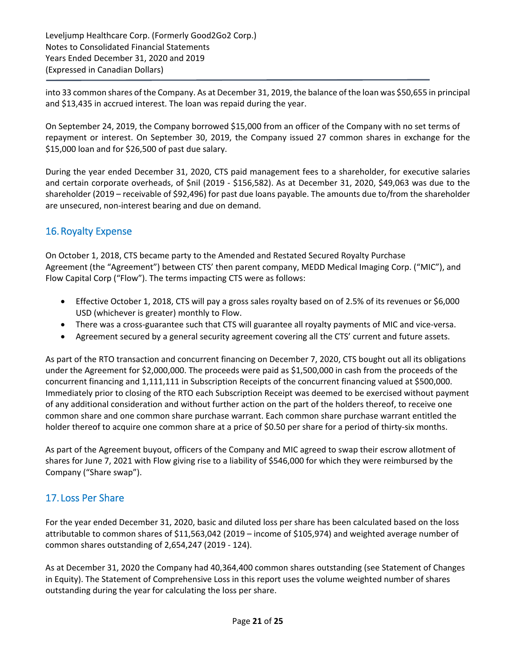into 33 common shares of the Company. As at December 31, 2019, the balance of the loan was \$50,655 in principal and \$13,435 in accrued interest. The loan was repaid during the year.

On September 24, 2019, the Company borrowed \$15,000 from an officer of the Company with no set terms of repayment or interest. On September 30, 2019, the Company issued 27 common shares in exchange for the \$15,000 loan and for \$26,500 of past due salary.

During the year ended December 31, 2020, CTS paid management fees to a shareholder, for executive salaries and certain corporate overheads, of \$nil (2019 ‐ \$156,582). As at December 31, 2020, \$49,063 was due to the shareholder (2019 – receivable of \$92,496) for past due loans payable. The amounts due to/from the shareholder are unsecured, non‐interest bearing and due on demand.

# 16.Royalty Expense

On October 1, 2018, CTS became party to the Amended and Restated Secured Royalty Purchase Agreement (the "Agreement") between CTS' then parent company, MEDD Medical Imaging Corp. ("MIC"), and Flow Capital Corp ("Flow"). The terms impacting CTS were as follows:

- Effective October 1, 2018, CTS will pay a gross sales royalty based on of 2.5% of its revenues or \$6,000 USD (whichever is greater) monthly to Flow.
- There was a cross-guarantee such that CTS will guarantee all royalty payments of MIC and vice-versa.
- Agreement secured by a general security agreement covering all the CTS' current and future assets.

As part of the RTO transaction and concurrent financing on December 7, 2020, CTS bought out all its obligations under the Agreement for \$2,000,000. The proceeds were paid as \$1,500,000 in cash from the proceeds of the concurrent financing and 1,111,111 in Subscription Receipts of the concurrent financing valued at \$500,000. Immediately prior to closing of the RTO each Subscription Receipt was deemed to be exercised without payment of any additional consideration and without further action on the part of the holders thereof, to receive one common share and one common share purchase warrant. Each common share purchase warrant entitled the holder thereof to acquire one common share at a price of \$0.50 per share for a period of thirty-six months.

As part of the Agreement buyout, officers of the Company and MIC agreed to swap their escrow allotment of shares for June 7, 2021 with Flow giving rise to a liability of \$546,000 for which they were reimbursed by the Company ("Share swap").

# 17. Loss Per Share

For the year ended December 31, 2020, basic and diluted loss per share has been calculated based on the loss attributable to common shares of \$11,563,042 (2019 – income of \$105,974) and weighted average number of common shares outstanding of 2,654,247 (2019 ‐ 124).

As at December 31, 2020 the Company had 40,364,400 common shares outstanding (see Statement of Changes in Equity). The Statement of Comprehensive Loss in this report uses the volume weighted number of shares outstanding during the year for calculating the loss per share.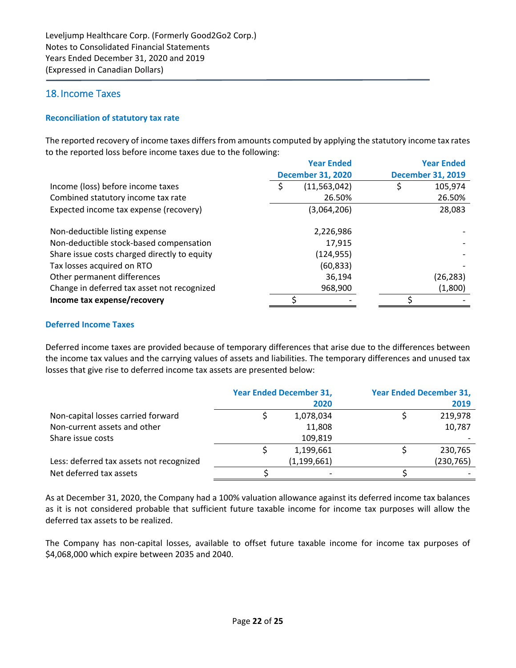# 18. Income Taxes

## **Reconciliation of statutory tax rate**

The reported recovery of income taxes differs from amounts computed by applying the statutory income tax rates to the reported loss before income taxes due to the following:

|                                              |                          | <b>Year Ended</b> |           | <b>Year Ended</b>        |
|----------------------------------------------|--------------------------|-------------------|-----------|--------------------------|
|                                              | <b>December 31, 2020</b> |                   |           | <b>December 31, 2019</b> |
| Income (loss) before income taxes            |                          | (11, 563, 042)    |           | 105,974                  |
| Combined statutory income tax rate           |                          |                   | 26.50%    | 26.50%                   |
| Expected income tax expense (recovery)       |                          | (3,064,206)       |           | 28,083                   |
| Non-deductible listing expense               |                          | 2,226,986         |           |                          |
| Non-deductible stock-based compensation      |                          |                   | 17,915    |                          |
| Share issue costs charged directly to equity |                          | (124, 955)        |           |                          |
| Tax losses acquired on RTO                   |                          |                   | (60, 833) |                          |
| Other permanent differences                  |                          |                   | 36,194    | (26, 283)                |
| Change in deferred tax asset not recognized  |                          |                   | 968,900   | (1,800)                  |
| Income tax expense/recovery                  |                          |                   |           |                          |

## **Deferred Income Taxes**

Deferred income taxes are provided because of temporary differences that arise due to the differences between the income tax values and the carrying values of assets and liabilities. The temporary differences and unused tax losses that give rise to deferred income tax assets are presented below:

|                                          | <b>Year Ended December 31,</b> |               | <b>Year Ended December 31,</b> |            |
|------------------------------------------|--------------------------------|---------------|--------------------------------|------------|
|                                          |                                | 2020          |                                | 2019       |
| Non-capital losses carried forward       |                                | 1,078,034     |                                | 219,978    |
| Non-current assets and other             |                                | 11,808        |                                | 10,787     |
| Share issue costs                        |                                | 109,819       |                                |            |
|                                          |                                | 1,199,661     |                                | 230,765    |
| Less: deferred tax assets not recognized |                                | (1, 199, 661) |                                | (230, 765) |
| Net deferred tax assets                  |                                |               |                                |            |

As at December 31, 2020, the Company had a 100% valuation allowance against its deferred income tax balances as it is not considered probable that sufficient future taxable income for income tax purposes will allow the deferred tax assets to be realized.

The Company has non-capital losses, available to offset future taxable income for income tax purposes of \$4,068,000 which expire between 2035 and 2040.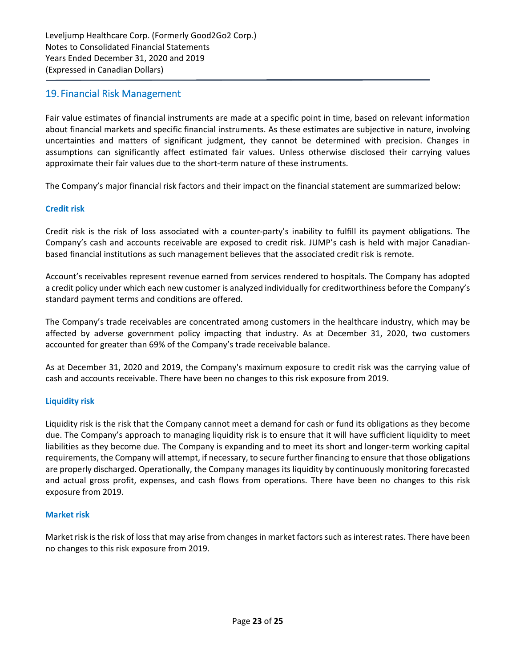# 19. Financial Risk Management

Fair value estimates of financial instruments are made at a specific point in time, based on relevant information about financial markets and specific financial instruments. As these estimates are subjective in nature, involving uncertainties and matters of significant judgment, they cannot be determined with precision. Changes in assumptions can significantly affect estimated fair values. Unless otherwise disclosed their carrying values approximate their fair values due to the short-term nature of these instruments.

The Company's major financial risk factors and their impact on the financial statement are summarized below:

## **Credit risk**

Credit risk is the risk of loss associated with a counter‐party's inability to fulfill its payment obligations. The Company's cash and accounts receivable are exposed to credit risk. JUMP's cash is held with major Canadian‐ based financial institutions as such management believes that the associated credit risk is remote.

Account's receivables represent revenue earned from services rendered to hospitals. The Company has adopted a credit policy under which each new customer is analyzed individually for creditworthiness before the Company's standard payment terms and conditions are offered.

The Company's trade receivables are concentrated among customers in the healthcare industry, which may be affected by adverse government policy impacting that industry. As at December 31, 2020, two customers accounted for greater than 69% of the Company's trade receivable balance.

As at December 31, 2020 and 2019, the Company's maximum exposure to credit risk was the carrying value of cash and accounts receivable. There have been no changes to this risk exposure from 2019.

## **Liquidity risk**

Liquidity risk is the risk that the Company cannot meet a demand for cash or fund its obligations as they become due. The Company's approach to managing liquidity risk is to ensure that it will have sufficient liquidity to meet liabilities as they become due. The Company is expanding and to meet its short and longer‐term working capital requirements, the Company will attempt, if necessary, to secure further financing to ensure that those obligations are properly discharged. Operationally, the Company manages its liquidity by continuously monitoring forecasted and actual gross profit, expenses, and cash flows from operations. There have been no changes to this risk exposure from 2019.

## **Market risk**

Market risk is the risk of loss that may arise from changes in market factors such as interest rates. There have been no changes to this risk exposure from 2019.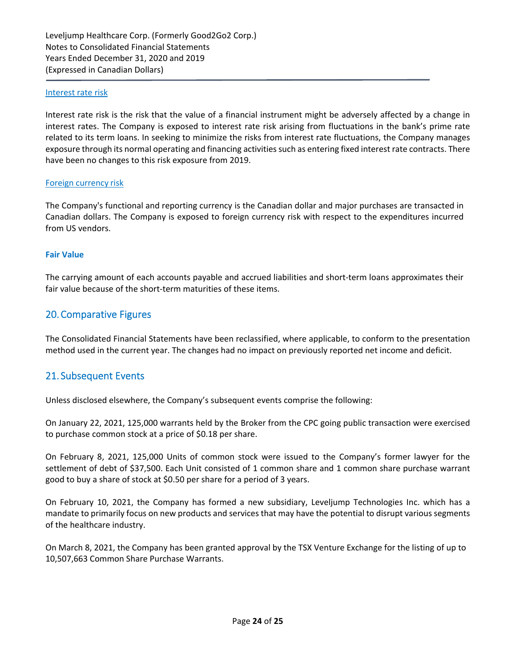#### Interest rate risk

Interest rate risk is the risk that the value of a financial instrument might be adversely affected by a change in interest rates. The Company is exposed to interest rate risk arising from fluctuations in the bank's prime rate related to its term loans. In seeking to minimize the risks from interest rate fluctuations, the Company manages exposure through its normal operating and financing activities such as entering fixed interest rate contracts. There have been no changes to this risk exposure from 2019.

#### Foreign currency risk

The Company's functional and reporting currency is the Canadian dollar and major purchases are transacted in Canadian dollars. The Company is exposed to foreign currency risk with respect to the expenditures incurred from US vendors.

## **Fair Value**

The carrying amount of each accounts payable and accrued liabilities and short‐term loans approximates their fair value because of the short-term maturities of these items.

# 20.Comparative Figures

The Consolidated Financial Statements have been reclassified, where applicable, to conform to the presentation method used in the current year. The changes had no impact on previously reported net income and deficit.

# 21. Subsequent Events

Unless disclosed elsewhere, the Company's subsequent events comprise the following:

On January 22, 2021, 125,000 warrants held by the Broker from the CPC going public transaction were exercised to purchase common stock at a price of \$0.18 per share.

On February 8, 2021, 125,000 Units of common stock were issued to the Company's former lawyer for the settlement of debt of \$37,500. Each Unit consisted of 1 common share and 1 common share purchase warrant good to buy a share of stock at \$0.50 per share for a period of 3 years.

On February 10, 2021, the Company has formed a new subsidiary, Leveljump Technologies Inc. which has a mandate to primarily focus on new products and services that may have the potential to disrupt various segments of the healthcare industry.

On March 8, 2021, the Company has been granted approval by the TSX Venture Exchange for the listing of up to 10,507,663 Common Share Purchase Warrants.